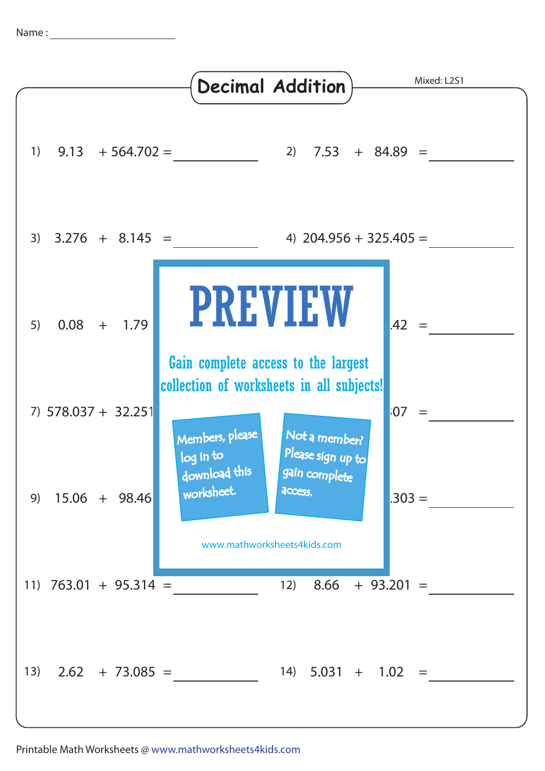